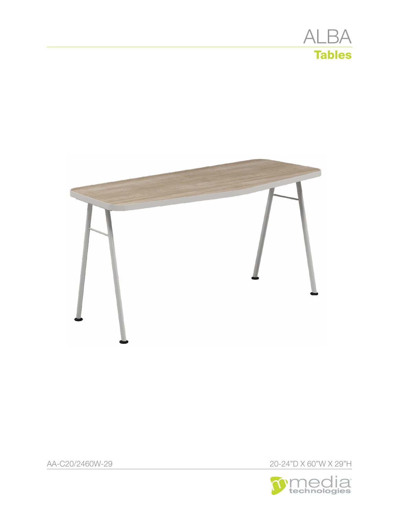



AA-C20/2460W-29 20-24"D X 60"W X 29"H